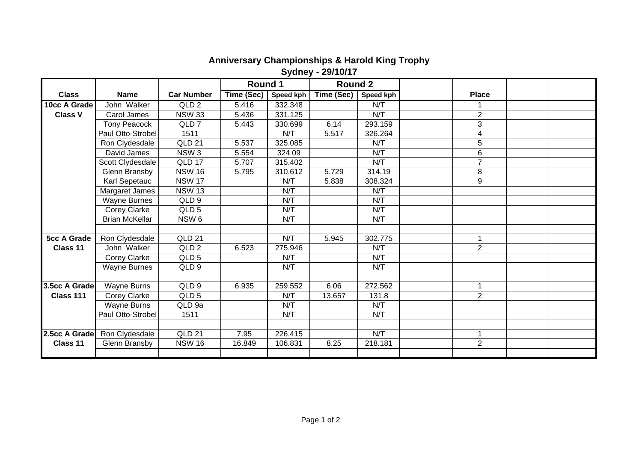## **Anniversary Championships & Harold King Trophy Sydney - 29/10/17**

|                    |                       |                   | Round 1    |           | <b>Round 2</b> |                  |                |  |
|--------------------|-----------------------|-------------------|------------|-----------|----------------|------------------|----------------|--|
| <b>Class</b>       | <b>Name</b>           | <b>Car Number</b> | Time (Sec) | Speed kph | Time (Sec)     | <b>Speed kph</b> | <b>Place</b>   |  |
| 10cc A Grade       | John Walker           | QLD <sub>2</sub>  | 5.416      | 332.348   |                | N/T              |                |  |
| <b>Class V</b>     | Carol James           | <b>NSW 33</b>     | 5.436      | 331.125   |                | N/T              | $\overline{2}$ |  |
|                    | <b>Tony Peacock</b>   | QLD <sub>7</sub>  | 5.443      | 330.699   | 6.14           | 293.159          | 3              |  |
|                    | Paul Otto-Strobel     | 1511              |            | N/T       | 5.517          | 326.264          | 4              |  |
|                    | Ron Clydesdale        | <b>QLD 21</b>     | 5.537      | 325.085   |                | N/T              | $\overline{5}$ |  |
|                    | David James           | NSW <sub>3</sub>  | 5.554      | 324.09    |                | N/T              | 6              |  |
|                    | Scott Clydesdale      | QLD 17            | 5.707      | 315.402   |                | N/T              | $\overline{7}$ |  |
|                    | Glenn Bransby         | <b>NSW 16</b>     | 5.795      | 310.612   | 5.729          | 314.19           | 8              |  |
|                    | Karl Sepetauc         | <b>NSW 17</b>     |            | N/T       | 5.838          | 308.324          | 9              |  |
|                    | Margaret James        | <b>NSW 13</b>     |            | N/T       |                | N/T              |                |  |
|                    | <b>Wayne Burnes</b>   | QLD 9             |            | N/T       |                | N/T              |                |  |
|                    | Corey Clarke          | QLD <sub>5</sub>  |            | N/T       |                | N/T              |                |  |
|                    | <b>Brian McKellar</b> | NSW <sub>6</sub>  |            | N/T       |                | N/T              |                |  |
|                    |                       |                   |            |           |                |                  |                |  |
| <b>5cc A Grade</b> | Ron Clydesdale        | QLD 21            |            | N/T       | 5.945          | 302.775          | $\mathbf{1}$   |  |
| Class 11           | John Walker           | QLD <sub>2</sub>  | 6.523      | 275.946   |                | N/T              | $\overline{2}$ |  |
|                    | Corey Clarke          | QLD <sub>5</sub>  |            | N/T       |                | N/T              |                |  |
|                    | <b>Wayne Burnes</b>   | QLD <sub>9</sub>  |            | N/T       |                | N/T              |                |  |
|                    |                       |                   |            |           |                |                  |                |  |
| 3.5cc A Grade      | Wayne Burns           | QLD <sub>9</sub>  | 6.935      | 259.552   | 6.06           | 272.562          |                |  |
| Class 111          | Corey Clarke          | QLD <sub>5</sub>  |            | N/T       | 13.657         | 131.8            | $\overline{2}$ |  |
|                    | Wayne Burns           | QLD 9a            |            | N/T       |                | N/T              |                |  |
|                    | Paul Otto-Strobel     | 1511              |            | N/T       |                | N/T              |                |  |
|                    |                       |                   |            |           |                |                  |                |  |
| 2.5cc A Grade      | Ron Clydesdale        | <b>QLD 21</b>     | 7.95       | 226.415   |                | N/T              | $\mathbf{1}$   |  |
| Class 11           | Glenn Bransby         | <b>NSW 16</b>     | 16.849     | 106.831   | 8.25           | 218.181          | $\overline{2}$ |  |
|                    |                       |                   |            |           |                |                  |                |  |